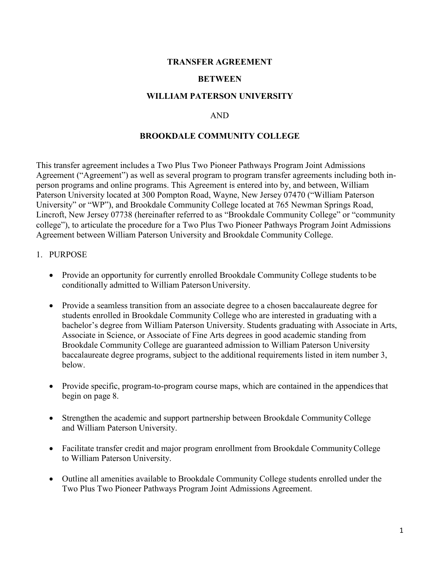#### **TRANSFER AGREEMENT**

#### **BETWEEN**

## **WILLIAM PATERSON UNIVERSITY**

#### AND

#### **BROOKDALE COMMUNITY COLLEGE**

This transfer agreement includes a Two Plus Two Pioneer Pathways Program Joint Admissions Agreement ("Agreement") as well as several program to program transfer agreements including both inperson programs and online programs. This Agreement is entered into by, and between, William Paterson University located at 300 Pompton Road, Wayne, New Jersey 07470 ("William Paterson University" or "WP"), and Brookdale Community College located at 765 Newman Springs Road, Lincroft, New Jersey 07738 (hereinafter referred to as "Brookdale Community College" or "community college"), to articulate the procedure for a Two Plus Two Pioneer Pathways Program Joint Admissions Agreement between William Paterson University and Brookdale Community College.

#### 1. PURPOSE

- Provide an opportunity for currently enrolled Brookdale Community College students to be conditionally admitted to William PatersonUniversity.
- Provide a seamless transition from an associate degree to a chosen baccalaureate degree for students enrolled in Brookdale Community College who are interested in graduating with a bachelor's degree from William Paterson University. Students graduating with Associate in Arts, Associate in Science, or Associate of Fine Arts degrees in good academic standing from Brookdale Community College are guaranteed admission to William Paterson University baccalaureate degree programs, subject to the additional requirements listed in item number 3, below.
- Provide specific, program-to-program course maps, which are contained in the appendices that begin on page 8.
- Strengthen the academic and support partnership between Brookdale Community College and William Paterson University.
- Facilitate transfer credit and major program enrollment from Brookdale Community College to William Paterson University.
- Outline all amenities available to Brookdale Community College students enrolled under the Two Plus Two Pioneer Pathways Program Joint Admissions Agreement.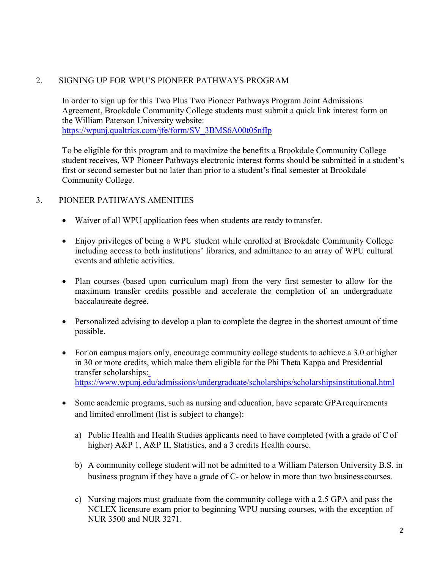### 2. SIGNING UP FOR WPU'S PIONEER PATHWAYS PROGRAM

In order to sign up for this Two Plus Two Pioneer Pathways Program Joint Admissions Agreement, Brookdale Community College students must submit a quick link interest form on the William Paterson University website: [https://wpunj.qualtrics.com/jfe/form/SV\\_3BMS6A00t05nfIp](https://wpunj.qualtrics.com/jfe/form/SV_3BMS6A00t05nfIp)

To be eligible for this program and to maximize the benefits a Brookdale Community College student receives, WP Pioneer Pathways electronic interest forms should be submitted in a student's first or second semester but no later than prior to a student's final semester at Brookdale Community College.

## 3. PIONEER PATHWAYS AMENITIES

- Waiver of all WPU application fees when students are ready to transfer.
- Enjoy privileges of being a WPU student while enrolled at Brookdale Community College including access to both institutions' libraries, and admittance to an array of WPU cultural events and athletic activities.
- Plan courses (based upon curriculum map) from the very first semester to allow for the maximum transfer credits possible and accelerate the completion of an undergraduate baccalaureate degree.
- Personalized advising to develop a plan to complete the degree in the shortest amount of time possible.
- For on campus majors only, encourage community college students to achieve a 3.0 or higher in 30 or more credits, which make them eligible for the Phi Theta Kappa and Presidential transfer scholarships: <https://www.wpunj.edu/admissions/undergraduate/scholarships/scholarshipsinstitutional.html>
- 
- Some academic programs, such as nursing and education, have separate GPA requirements and limited enrollment (list is subject to change):
	- a) Public Health and Health Studies applicants need to have completed (with a grade of C of higher) A&P 1, A&P II, Statistics, and a 3 credits Health course.
	- b) A community college student will not be admitted to a William Paterson University B.S. in business program if they have a grade of C- or below in more than two business courses.
	- c) Nursing majors must graduate from the community college with a 2.5 GPA and pass the NCLEX licensure exam prior to beginning WPU nursing courses, with the exception of NUR 3500 and NUR 3271.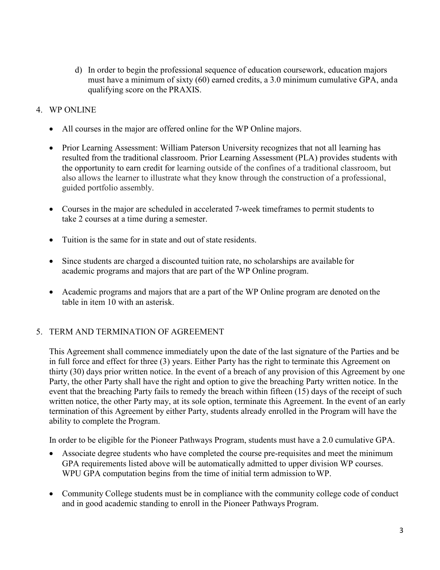- d) In order to begin the professional sequence of education coursework, education majors must have a minimum of sixty (60) earned credits, a 3.0 minimum cumulative GPA, anda qualifying score on the PRAXIS.
- 4. WP ONLINE
	- All courses in the major are offered online for the WP Online majors.
	- Prior Learning Assessment: William Paterson University recognizes that not all learning has resulted from the traditional classroom. Prior Learning Assessment (PLA) provides students with the opportunity to earn credit for learning outside of the confines of a traditional classroom, but also allows the learner to illustrate what they know through the construction of a professional, guided portfolio assembly.
	- Courses in the major are scheduled in accelerated 7-week timeframes to permit students to take 2 courses at a time during a semester.
	- Tuition is the same for in state and out of state residents.
	- Since students are charged a discounted tuition rate, no scholarships are available for academic programs and majors that are part of the WP Online program.
	- Academic programs and majors that are a part of the WP Online program are denoted on the table in item 10 with an asterisk.

## 5. TERM AND TERMINATION OF AGREEMENT

This Agreement shall commence immediately upon the date of the last signature of the Parties and be in full force and effect for three (3) years. Either Party has the right to terminate this Agreement on thirty (30) days prior written notice. In the event of a breach of any provision of this Agreement by one Party, the other Party shall have the right and option to give the breaching Party written notice. In the event that the breaching Party fails to remedy the breach within fifteen (15) days of the receipt of such written notice, the other Party may, at its sole option, terminate this Agreement. In the event of an early termination of this Agreement by either Party, students already enrolled in the Program will have the ability to complete the Program.

In order to be eligible for the Pioneer Pathways Program, students must have a 2.0 cumulative GPA.

- Associate degree students who have completed the course pre-requisites and meet the minimum GPA requirements listed above will be automatically admitted to upper division WP courses. WPU GPA computation begins from the time of initial term admission toWP.
- Community College students must be in compliance with the community college code of conduct and in good academic standing to enroll in the Pioneer Pathways Program.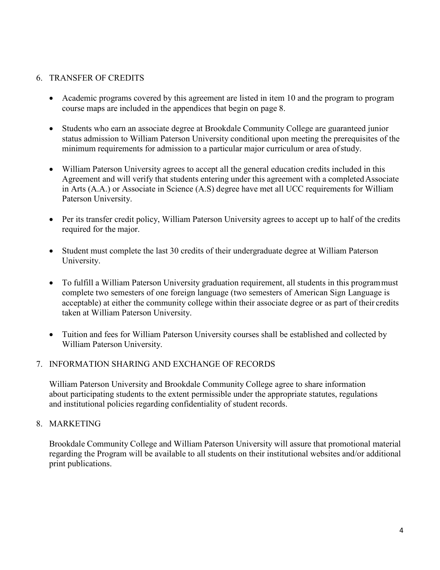## 6. TRANSFER OF CREDITS

- Academic programs covered by this agreement are listed in item 10 and the program to program course maps are included in the appendices that begin on page 8.
- Students who earn an associate degree at Brookdale Community College are guaranteed junior status admission to William Paterson University conditional upon meeting the prerequisites of the minimum requirements for admission to a particular major curriculum or area ofstudy.
- William Paterson University agrees to accept all the general education credits included in this Agreement and will verify that students entering under this agreement with a completed Associate in Arts (A.A.) or Associate in Science (A.S) degree have met all UCC requirements for William Paterson University.
- Per its transfer credit policy, William Paterson University agrees to accept up to half of the credits required for the major.
- Student must complete the last 30 credits of their undergraduate degree at William Paterson University.
- To fulfill a William Paterson University graduation requirement, all students in this programmust complete two semesters of one foreign language (two semesters of American Sign Language is acceptable) at either the community college within their associate degree or as part of their credits taken at William Paterson University.
- Tuition and fees for William Paterson University courses shall be established and collected by William Paterson University.

## 7. INFORMATION SHARING AND EXCHANGE OF RECORDS

William Paterson University and Brookdale Community College agree to share information about participating students to the extent permissible under the appropriate statutes, regulations and institutional policies regarding confidentiality of student records.

#### 8. MARKETING

Brookdale Community College and William Paterson University will assure that promotional material regarding the Program will be available to all students on their institutional websites and/or additional print publications.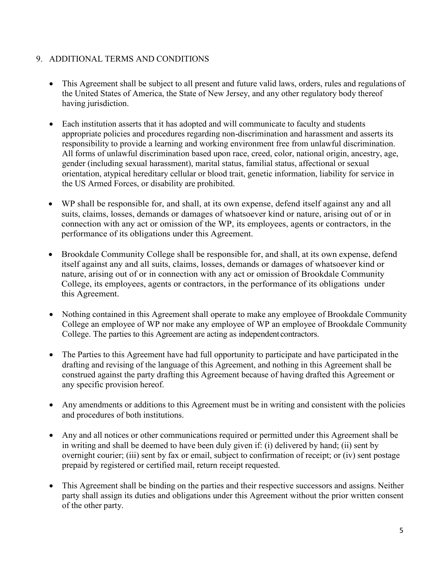# 9. ADDITIONAL TERMS AND CONDITIONS

- This Agreement shall be subject to all present and future valid laws, orders, rules and regulations of the United States of America, the State of New Jersey, and any other regulatory body thereof having jurisdiction.
- Each institution asserts that it has adopted and will communicate to faculty and students appropriate policies and procedures regarding non-discrimination and harassment and asserts its responsibility to provide a learning and working environment free from unlawful discrimination. All forms of unlawful discrimination based upon race, creed, color, national origin, ancestry, age, gender (including sexual harassment), marital status, familial status, affectional or sexual orientation, atypical hereditary cellular or blood trait, genetic information, liability for service in the US Armed Forces, or disability are prohibited.
- WP shall be responsible for, and shall, at its own expense, defend itself against any and all suits, claims, losses, demands or damages of whatsoever kind or nature, arising out of or in connection with any act or omission of the WP, its employees, agents or contractors, in the performance of its obligations under this Agreement.
- Brookdale Community College shall be responsible for, and shall, at its own expense, defend itself against any and all suits, claims, losses, demands or damages of whatsoever kind or nature, arising out of or in connection with any act or omission of Brookdale Community College, its employees, agents or contractors, in the performance of its obligations under this Agreement.
- Nothing contained in this Agreement shall operate to make any employee of Brookdale Community College an employee of WP nor make any employee of WP an employee of Brookdale Community College. The parties to this Agreement are acting as independent contractors.
- The Parties to this Agreement have had full opportunity to participate and have participated in the drafting and revising of the language of this Agreement, and nothing in this Agreement shall be construed against the party drafting this Agreement because of having drafted this Agreement or any specific provision hereof.
- Any amendments or additions to this Agreement must be in writing and consistent with the policies and procedures of both institutions.
- Any and all notices or other communications required or permitted under this Agreement shall be in writing and shall be deemed to have been duly given if: (i) delivered by hand; (ii) sent by overnight courier; (iii) sent by fax or email, subject to confirmation of receipt; or (iv) sent postage prepaid by registered or certified mail, return receipt requested.
- This Agreement shall be binding on the parties and their respective successors and assigns. Neither party shall assign its duties and obligations under this Agreement without the prior written consent of the other party.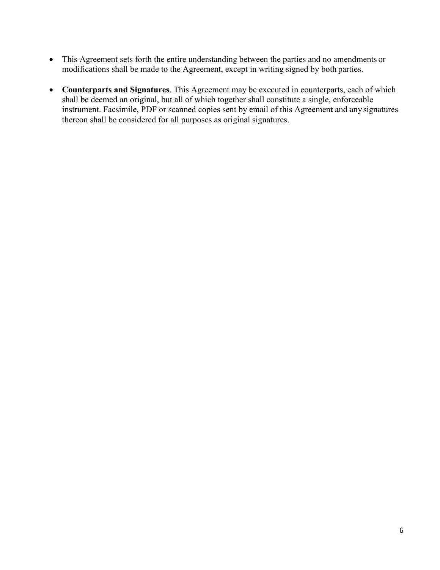- This Agreement sets forth the entire understanding between the parties and no amendments or modifications shall be made to the Agreement, except in writing signed by both parties.
- **Counterparts and Signatures**. This Agreement may be executed in counterparts, each of which shall be deemed an original, but all of which together shall constitute a single, enforceable instrument. Facsimile, PDF or scanned copies sent by email of this Agreement and anysignatures thereon shall be considered for all purposes as original signatures.